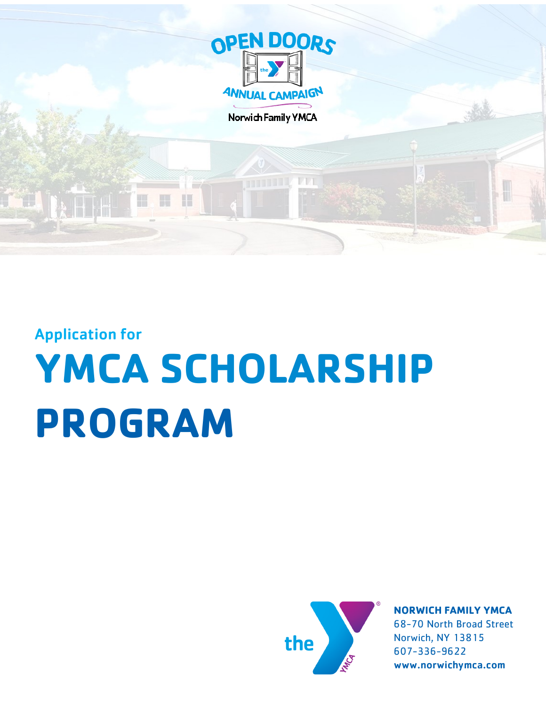

Norwich Family YMCA

Application for

# **YMCA SCHOLARSHIP PROGRAM**



**NORWICH FAMILY YMCA** 68-70 North Broad Street Norwich, NY 13815 607-336-9622 www.norwichymca.com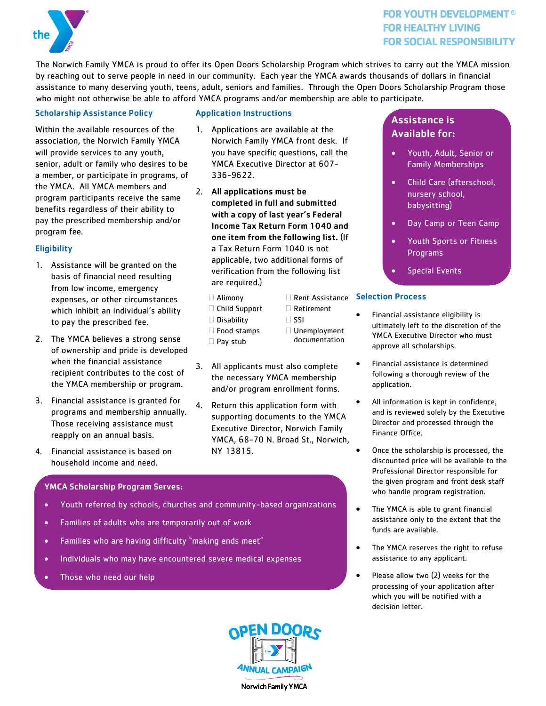

## **FOR YOUTH DEVELOPMENT® FOR HEALTHY LIVING FOR SOCIAL RESPONSIBILITY**

The Norwich Family YMCA is proud to offer its Open Doors Scholarship Program which strives to carry out the YMCA mission by reaching out to serve people in need in our community. Each year the YMCA awards thousands of dollars in financial assistance to many deserving youth, teens, adult, seniors and families. Through the Open Doors Scholarship Program those who might not otherwise be able to afford YMCA programs and/or membership are able to participate.

## Scholarship Assistance Policy

Within the available resources of the association, the Norwich Family YMCA will provide services to any youth, senior, adult or family who desires to be a member, or participate in programs, of the YMCA. All YMCA members and program participants receive the same benefits regardless of their ability to pay the prescribed membership and/or program fee.

### **Eligibility**

- 1. Assistance will be granted on the basis of financial need resulting from low income, emergency expenses, or other circumstances which inhibit an individual's ability to pay the prescribed fee.
- 2. The YMCA believes a strong sense of ownership and pride is developed when the financial assistance recipient contributes to the cost of the YMCA membership or program.
- 3. Financial assistance is granted for programs and membership annually. Those receiving assistance must reapply on an annual basis.
- 4. Financial assistance is based on household income and need.

### YMCA Scholarship Program Serves:

- Youth referred by schools, churches and community-based organizations
- Families of adults who are temporarily out of work
- Families who are having difficulty "making ends meet"
- Individuals who may have encountered severe medical expenses
- Those who need our help

#### Application Instructions

- 1. Applications are available at the Norwich Family YMCA front desk. If you have specific questions, call the YMCA Executive Director at 607- 336-9622.
- 2. All applications must be completed in full and submitted with a copy of last year's Federal Income Tax Return Form 1040 and one item from the following list. (If a Tax Return Form 1040 is not applicable, two additional forms of verification from the following list are required.)
	- Alimony
	- Child Support
	- □ Disability
		- $\Box$  SSI Unemployment

□ Retirement

documentation

- □ Food stamps  $\Box$  Pay stub
- 3. All applicants must also complete the necessary YMCA membership and/or program enrollment forms.
- 4. Return this application form with supporting documents to the YMCA Executive Director, Norwich Family YMCA, 68-70 N. Broad St., Norwich, NY 13815.

# Assistance is Available for:

- Youth, Adult, Senior or Family Memberships
- Child Care (afterschool, nursery school, babysitting)
- Day Camp or Teen Camp
- Youth Sports or Fitness Programs
- Special Events

#### Rent Assistance Selection Process

- Financial assistance eligibility is ultimately left to the discretion of the YMCA Executive Director who must approve all scholarships.
- Financial assistance is determined following a thorough review of the application.
- All information is kept in confidence, and is reviewed solely by the Executive Director and processed through the Finance Office.
- Once the scholarship is processed, the discounted price will be available to the Professional Director responsible for the given program and front desk staff who handle program registration.
- The YMCA is able to grant financial assistance only to the extent that the funds are available.
- The YMCA reserves the right to refuse assistance to any applicant.
- Please allow two (2) weeks for the processing of your application after which you will be notified with a decision letter.

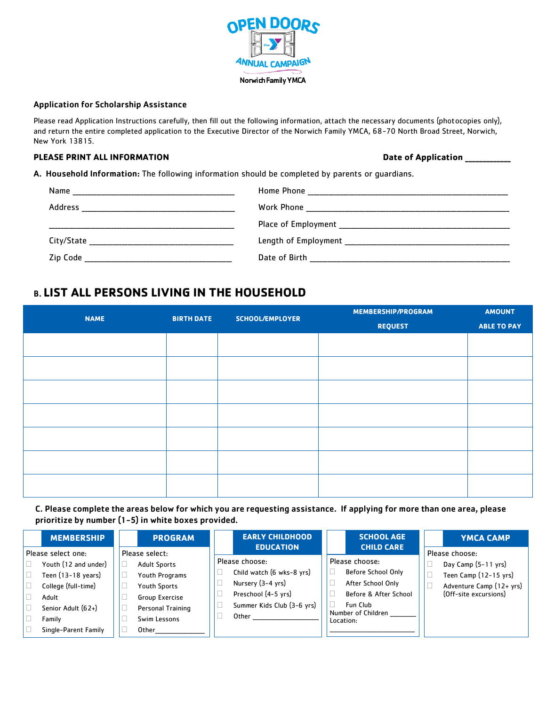

#### Application for Scholarship Assistance

Please read Application Instructions carefully, then fill out the following information, attach the necessary documents (photocopies only), and return the entire completed application to the Executive Director of the Norwich Family YMCA, 68-70 North Broad Street, Norwich, New York 13815.

#### PLEASE PRINT ALL INFORMATION **PLEASE PRINT ALL INFORMATION**

A. Household Information: The following information should be completed by parents or guardians.

| Name       | Home Phone           |
|------------|----------------------|
| Address    | Work Phone           |
|            | Place of Employment  |
| City/State | Length of Employment |
| Zip Code   | Date of Birth        |

# B. **LIST ALL PERSONS LIVING IN THE HOUSEHOLD**

| <b>NAME</b> |                   |                 | MEMBERSHIP/PROGRAM | <b>AMOUNT</b>      |  |
|-------------|-------------------|-----------------|--------------------|--------------------|--|
|             | <b>BIRTH DATE</b> | SCHOOL/EMPLOYER | <b>REQUEST</b>     | <b>ABLE TO PAY</b> |  |
|             |                   |                 |                    |                    |  |
|             |                   |                 |                    |                    |  |
|             |                   |                 |                    |                    |  |
|             |                   |                 |                    |                    |  |
|             |                   |                 |                    |                    |  |
|             |                   |                 |                    |                    |  |
|             |                   |                 |                    |                    |  |
|             |                   |                 |                    |                    |  |
|             |                   |                 |                    |                    |  |
|             |                   |                 |                    |                    |  |
|             |                   |                 |                    |                    |  |
|             |                   |                 |                    |                    |  |
|             |                   |                 |                    |                    |  |
|             |                   |                 |                    |                    |  |

C. Please complete the areas below for which you are requesting assistance. If applying for more than one area, please prioritize by number (1-5) in white boxes provided.

|                    | <b>MEMBERSHIP</b>    |                | <b>PROGRAM</b>      | <b>EARLY CHILDHOOD</b>                      |           | <b>SCHOOL AGE</b>                    | <b>YMCA CAMP</b>         |
|--------------------|----------------------|----------------|---------------------|---------------------------------------------|-----------|--------------------------------------|--------------------------|
| Please select one: |                      | Please select: |                     | <b>EDUCATION</b>                            |           | <b>CHILD CARE</b>                    | Please choose:           |
|                    | Youth (12 and under) |                | <b>Adult Sports</b> | Please choose:<br>Child watch (6 wks-8 yrs) |           | Please choose:<br>Before School Only | Day Camp (5-11 yrs)      |
| $\Box$             | Teen (13-18 years)   |                | Youth Programs      |                                             |           |                                      | Teen Camp (12-15 yrs)    |
| $\Box$             | College (full-time)  |                | Youth Sports        | Nursery (3-4 yrs)                           |           | After School Only                    | Adventure Camp (12+ yrs) |
|                    | Adult                |                | Group Exercise      | Preschool (4-5 yrs)                         |           | Before & After School                | (Off-site excursions)    |
|                    | Senior Adult (62+)   |                | Personal Training   | Summer Kids Club (3-6 yrs)                  |           | Fun Club                             |                          |
| ╹□                 | Family               |                | Swim Lessons        | Other                                       | Location: | Number of Children                   |                          |
|                    | Single-Parent Family |                | Other               |                                             |           |                                      |                          |